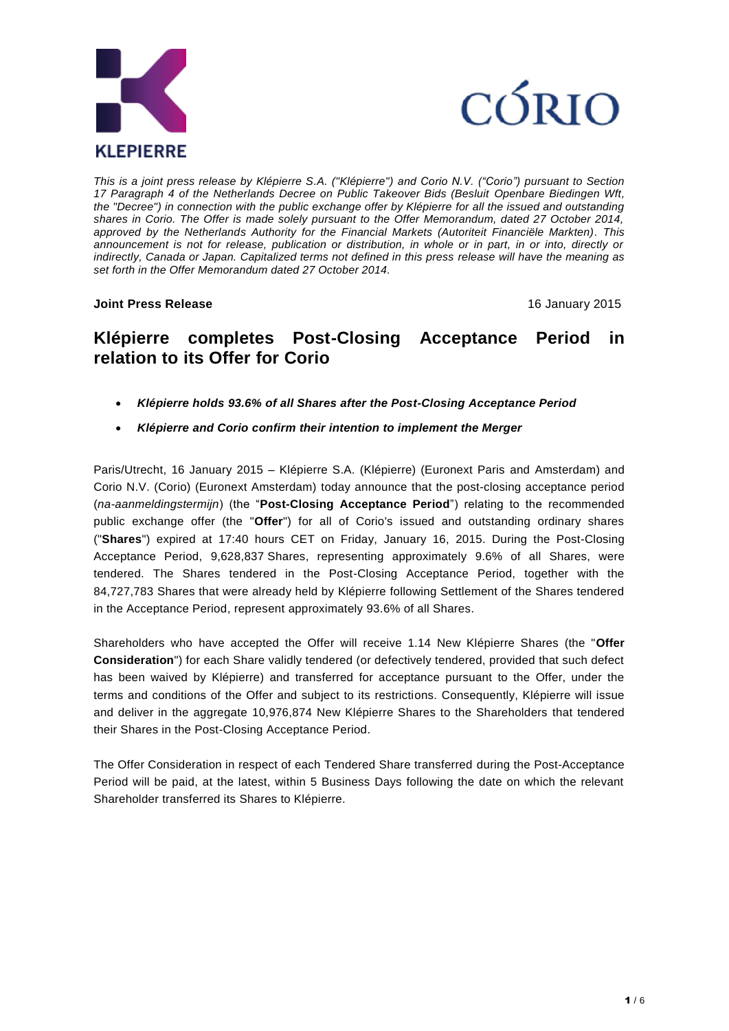



*This is a joint press release by Klépierre S.A. ("Klépierre") and Corio N.V. ("Corio") pursuant to Section 17 Paragraph 4 of the Netherlands Decree on Public Takeover Bids (Besluit Openbare Biedingen Wft, the "Decree") in connection with the public exchange offer by Klépierre for all the issued and outstanding shares in Corio. The Offer is made solely pursuant to the Offer Memorandum, dated 27 October 2014, approved by the Netherlands Authority for the Financial Markets (Autoriteit Financiële Markten). This announcement is not for release, publication or distribution, in whole or in part, in or into, directly or indirectly, Canada or Japan. Capitalized terms not defined in this press release will have the meaning as set forth in the Offer Memorandum dated 27 October 2014.*

**Joint Press Release** 16 January 2015

# **Klépierre completes Post-Closing Acceptance Period in relation to its Offer for Corio**

- *Klépierre holds 93.6% of all Shares after the Post-Closing Acceptance Period*
- *Klépierre and Corio confirm their intention to implement the Merger*

Paris/Utrecht, 16 January 2015 – Klépierre S.A. (Klépierre) (Euronext Paris and Amsterdam) and Corio N.V. (Corio) (Euronext Amsterdam) today announce that the post-closing acceptance period (*na-aanmeldingstermijn*) (the "**Post-Closing Acceptance Period**") relating to the recommended public exchange offer (the "**Offer**") for all of Corio's issued and outstanding ordinary shares ("**Shares**") expired at 17:40 hours CET on Friday, January 16, 2015. During the Post-Closing Acceptance Period, 9,628,837 Shares, representing approximately 9.6% of all Shares, were tendered. The Shares tendered in the Post-Closing Acceptance Period, together with the 84,727,783 Shares that were already held by Klépierre following Settlement of the Shares tendered in the Acceptance Period, represent approximately 93.6% of all Shares.

Shareholders who have accepted the Offer will receive 1.14 New Klépierre Shares (the "**Offer Consideration**") for each Share validly tendered (or defectively tendered, provided that such defect has been waived by Klépierre) and transferred for acceptance pursuant to the Offer, under the terms and conditions of the Offer and subject to its restrictions. Consequently, Klépierre will issue and deliver in the aggregate 10,976,874 New Klépierre Shares to the Shareholders that tendered their Shares in the Post-Closing Acceptance Period.

The Offer Consideration in respect of each Tendered Share transferred during the Post-Acceptance Period will be paid, at the latest, within 5 Business Days following the date on which the relevant Shareholder transferred its Shares to Klépierre.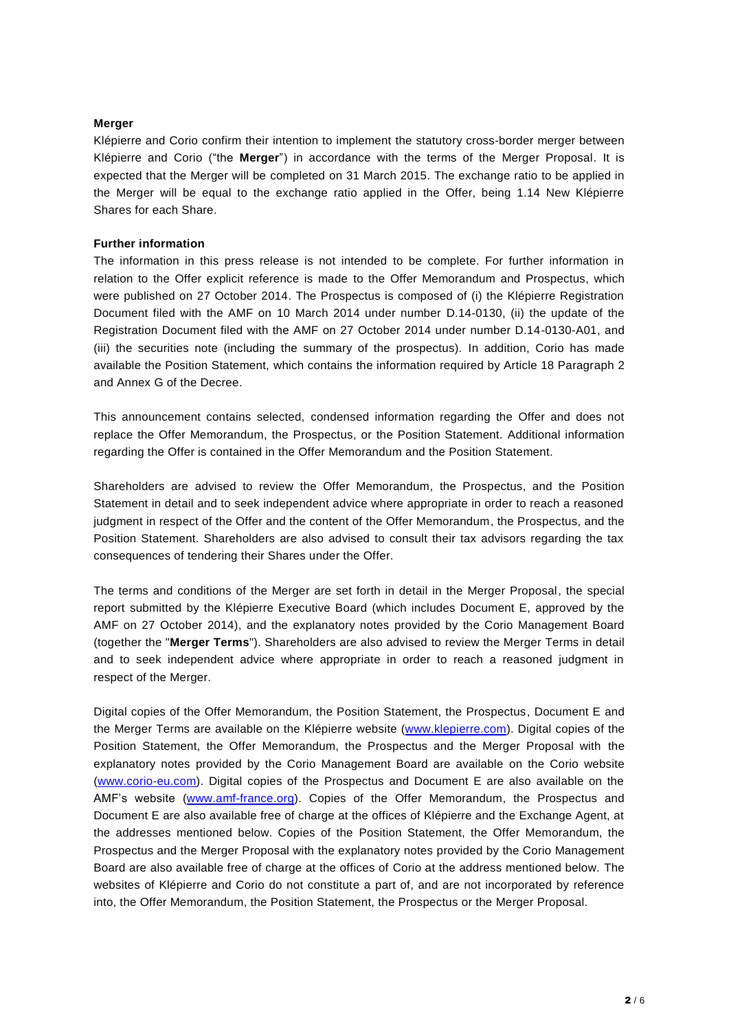## **Merger**

Klépierre and Corio confirm their intention to implement the statutory cross-border merger between Klépierre and Corio ("the **Merger**") in accordance with the terms of the Merger Proposal. It is expected that the Merger will be completed on 31 March 2015. The exchange ratio to be applied in the Merger will be equal to the exchange ratio applied in the Offer, being 1.14 New Klépierre Shares for each Share.

# **Further information**

The information in this press release is not intended to be complete. For further information in relation to the Offer explicit reference is made to the Offer Memorandum and Prospectus, which were published on 27 October 2014. The Prospectus is composed of (i) the Klépierre Registration Document filed with the AMF on 10 March 2014 under number [D.14-0130,](http://inetbdif.amf-france.org/DocDoif/rdd/RAPOSTPdf/2014/2014-0130.pdf) (ii) the update of the Registration Document filed with the AMF on 27 October 2014 under number D.14-0130-A01, and (iii) the securities note (including the summary of the prospectus). In addition, Corio has made available the Position Statement, which contains the information required by Article 18 Paragraph 2 and Annex G of the Decree.

This announcement contains selected, condensed information regarding the Offer and does not replace the Offer Memorandum, the Prospectus, or the Position Statement. Additional information regarding the Offer is contained in the Offer Memorandum and the Position Statement.

Shareholders are advised to review the Offer Memorandum, the Prospectus, and the Position Statement in detail and to seek independent advice where appropriate in order to reach a reasoned judgment in respect of the Offer and the content of the Offer Memorandum, the Prospectus, and the Position Statement. Shareholders are also advised to consult their tax advisors regarding the tax consequences of tendering their Shares under the Offer.

The terms and conditions of the Merger are set forth in detail in the Merger Proposal, the special report submitted by the Klépierre Executive Board (which includes Document E, approved by the AMF on 27 October 2014), and the explanatory notes provided by the Corio Management Board (together the "**Merger Terms**"). Shareholders are also advised to review the Merger Terms in detail and to seek independent advice where appropriate in order to reach a reasoned judgment in respect of the Merger.

Digital copies of the Offer Memorandum, the Position Statement, the Prospectus, Document E and the Merger Terms are available on the Klépierre website [\(www.klepierre.com\)](http://www.klepierre.com/). Digital copies of the Position Statement, the Offer Memorandum, the Prospectus and the Merger Proposal with the explanatory notes provided by the Corio Management Board are available on the Corio website [\(www.corio-eu.com\)](http://www.corio-eu.com/). Digital copies of the Prospectus and Document E are also available on the AMF's website [\(www.amf-france.org\)](http://www.amf-france.org/). Copies of the Offer Memorandum, the Prospectus and Document E are also available free of charge at the offices of Klépierre and the Exchange Agent, at the addresses mentioned below. Copies of the Position Statement, the Offer Memorandum, the Prospectus and the Merger Proposal with the explanatory notes provided by the Corio Management Board are also available free of charge at the offices of Corio at the address mentioned below. The websites of Klépierre and Corio do not constitute a part of, and are not incorporated by reference into, the Offer Memorandum, the Position Statement, the Prospectus or the Merger Proposal.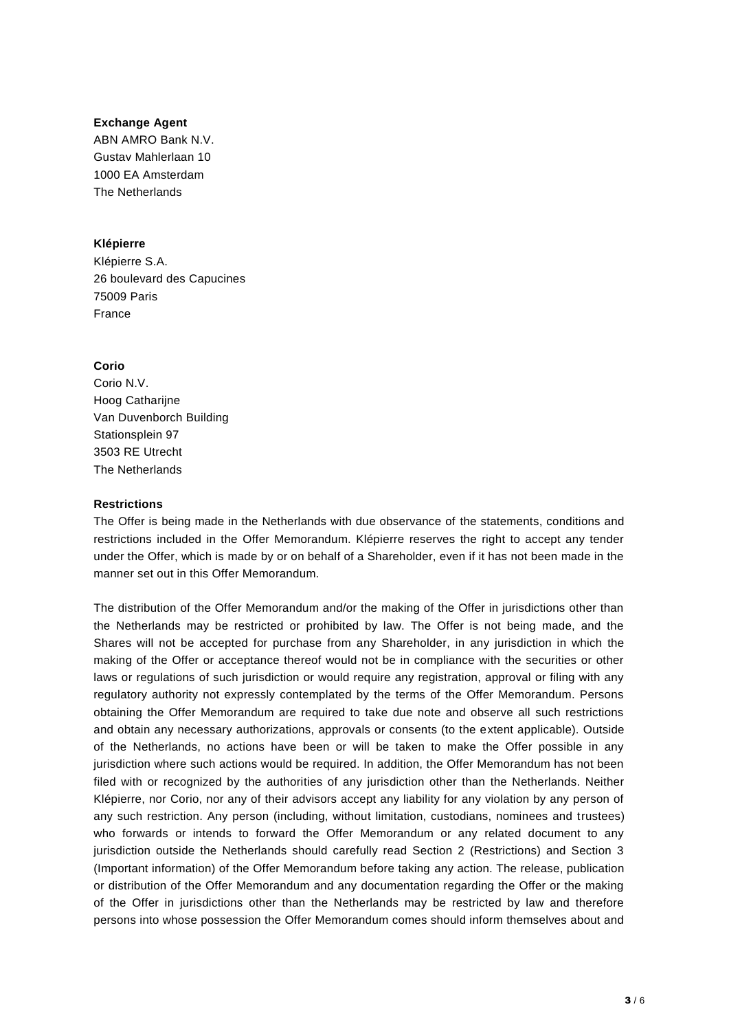## **Exchange Agent**

ABN AMRO Bank N.V. Gustav Mahlerlaan 10 1000 EA Amsterdam The Netherlands

# **Klépierre**

Klépierre S.A. 26 boulevard des Capucines 75009 Paris France

# **Corio**

Corio N.V. Hoog Catharijne Van Duvenborch Building Stationsplein 97 3503 RE Utrecht The Netherlands

# **Restrictions**

The Offer is being made in the Netherlands with due observance of the statements, conditions and restrictions included in the Offer Memorandum. Klépierre reserves the right to accept any tender under the Offer, which is made by or on behalf of a Shareholder, even if it has not been made in the manner set out in this Offer Memorandum.

The distribution of the Offer Memorandum and/or the making of the Offer in jurisdictions other than the Netherlands may be restricted or prohibited by law. The Offer is not being made, and the Shares will not be accepted for purchase from any Shareholder, in any jurisdiction in which the making of the Offer or acceptance thereof would not be in compliance with the securities or other laws or regulations of such jurisdiction or would require any registration, approval or filing with any regulatory authority not expressly contemplated by the terms of the Offer Memorandum. Persons obtaining the Offer Memorandum are required to take due note and observe all such restrictions and obtain any necessary authorizations, approvals or consents (to the extent applicable). Outside of the Netherlands, no actions have been or will be taken to make the Offer possible in any jurisdiction where such actions would be required. In addition, the Offer Memorandum has not been filed with or recognized by the authorities of any jurisdiction other than the Netherlands. Neither Klépierre, nor Corio, nor any of their advisors accept any liability for any violation by any person of any such restriction. Any person (including, without limitation, custodians, nominees and trustees) who forwards or intends to forward the Offer Memorandum or any related document to any jurisdiction outside the Netherlands should carefully read Section 2 (Restrictions) and Section 3 (Important information) of the Offer Memorandum before taking any action. The release, publication or distribution of the Offer Memorandum and any documentation regarding the Offer or the making of the Offer in jurisdictions other than the Netherlands may be restricted by law and therefore persons into whose possession the Offer Memorandum comes should inform themselves about and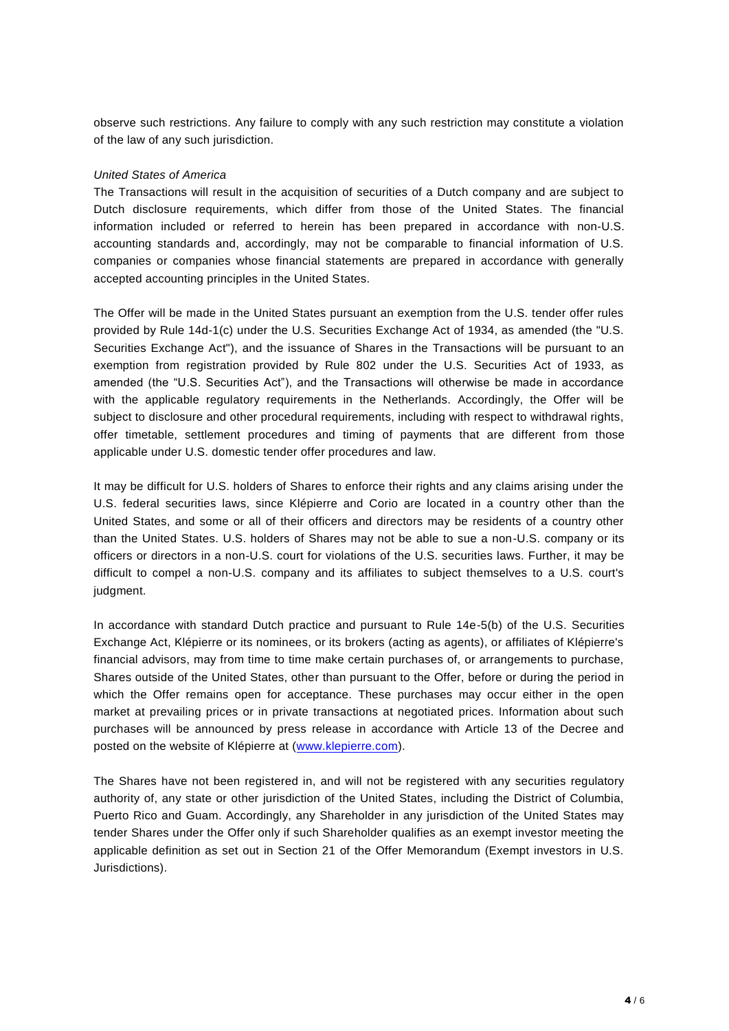observe such restrictions. Any failure to comply with any such restriction may constitute a violation of the law of any such jurisdiction.

## *United States of America*

The Transactions will result in the acquisition of securities of a Dutch company and are subject to Dutch disclosure requirements, which differ from those of the United States. The financial information included or referred to herein has been prepared in accordance with non-U.S. accounting standards and, accordingly, may not be comparable to financial information of U.S. companies or companies whose financial statements are prepared in accordance with generally accepted accounting principles in the United States.

The Offer will be made in the United States pursuant an exemption from the U.S. tender offer rules provided by Rule 14d-1(c) under the U.S. Securities Exchange Act of 1934, as amended (the "U.S. Securities Exchange Act"), and the issuance of Shares in the Transactions will be pursuant to an exemption from registration provided by Rule 802 under the U.S. Securities Act of 1933, as amended (the "U.S. Securities Act"), and the Transactions will otherwise be made in accordance with the applicable regulatory reguirements in the Netherlands. Accordingly, the Offer will be subject to disclosure and other procedural requirements, including with respect to withdrawal rights, offer timetable, settlement procedures and timing of payments that are different from those applicable under U.S. domestic tender offer procedures and law.

It may be difficult for U.S. holders of Shares to enforce their rights and any claims arising under the U.S. federal securities laws, since Klépierre and Corio are located in a country other than the United States, and some or all of their officers and directors may be residents of a country other than the United States. U.S. holders of Shares may not be able to sue a non-U.S. company or its officers or directors in a non-U.S. court for violations of the U.S. securities laws. Further, it may be difficult to compel a non-U.S. company and its affiliates to subject themselves to a U.S. court's judgment.

In accordance with standard Dutch practice and pursuant to Rule 14e-5(b) of the U.S. Securities Exchange Act, Klépierre or its nominees, or its brokers (acting as agents), or affiliates of Klépierre's financial advisors, may from time to time make certain purchases of, or arrangements to purchase, Shares outside of the United States, other than pursuant to the Offer, before or during the period in which the Offer remains open for acceptance. These purchases may occur either in the open market at prevailing prices or in private transactions at negotiated prices. Information about such purchases will be announced by press release in accordance with Article 13 of the Decree and posted on the website of Klépierre at [\(www.klepierre.com\)](http://www.klepierre.com/).

The Shares have not been registered in, and will not be registered with any securities regulatory authority of, any state or other jurisdiction of the United States, including the District of Columbia, Puerto Rico and Guam. Accordingly, any Shareholder in any jurisdiction of the United States may tender Shares under the Offer only if such Shareholder qualifies as an exempt investor meeting the applicable definition as set out in Section 21 of the Offer Memorandum (Exempt investors in U.S. Jurisdictions).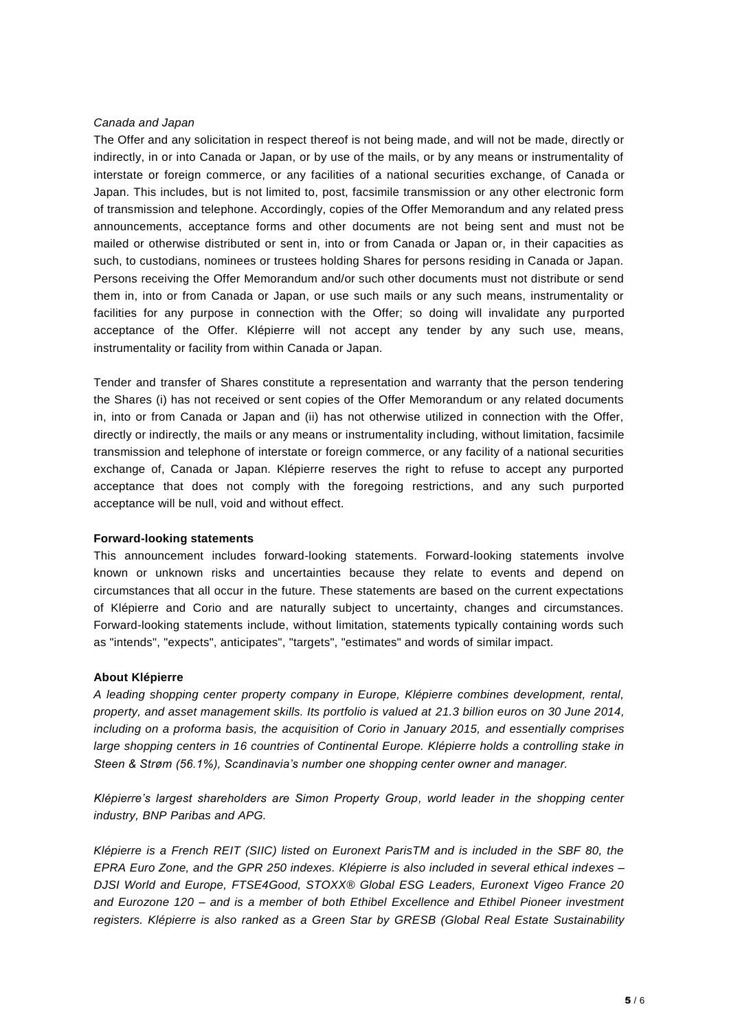## *Canada and Japan*

The Offer and any solicitation in respect thereof is not being made, and will not be made, directly or indirectly, in or into Canada or Japan, or by use of the mails, or by any means or instrumentality of interstate or foreign commerce, or any facilities of a national securities exchange, of Canada or Japan. This includes, but is not limited to, post, facsimile transmission or any other electronic form of transmission and telephone. Accordingly, copies of the Offer Memorandum and any related press announcements, acceptance forms and other documents are not being sent and must not be mailed or otherwise distributed or sent in, into or from Canada or Japan or, in their capacities as such, to custodians, nominees or trustees holding Shares for persons residing in Canada or Japan. Persons receiving the Offer Memorandum and/or such other documents must not distribute or send them in, into or from Canada or Japan, or use such mails or any such means, instrumentality or facilities for any purpose in connection with the Offer; so doing will invalidate any purported acceptance of the Offer. Klépierre will not accept any tender by any such use, means, instrumentality or facility from within Canada or Japan.

Tender and transfer of Shares constitute a representation and warranty that the person tendering the Shares (i) has not received or sent copies of the Offer Memorandum or any related documents in, into or from Canada or Japan and (ii) has not otherwise utilized in connection with the Offer, directly or indirectly, the mails or any means or instrumentality including, without limitation, facsimile transmission and telephone of interstate or foreign commerce, or any facility of a national securities exchange of, Canada or Japan. Klépierre reserves the right to refuse to accept any purported acceptance that does not comply with the foregoing restrictions, and any such purported acceptance will be null, void and without effect.

#### **Forward-looking statements**

This announcement includes forward-looking statements. Forward-looking statements involve known or unknown risks and uncertainties because they relate to events and depend on circumstances that all occur in the future. These statements are based on the current expectations of Klépierre and Corio and are naturally subject to uncertainty, changes and circumstances. Forward-looking statements include, without limitation, statements typically containing words such as "intends", "expects", anticipates", "targets", "estimates" and words of similar impact.

#### **About Klépierre**

*A leading shopping center property company in Europe, Klépierre combines development, rental, property, and asset management skills. Its portfolio is valued at 21.3 billion euros on 30 June 2014, including on a proforma basis, the acquisition of Corio in January 2015, and essentially comprises large shopping centers in 16 countries of Continental Europe. Klépierre holds a controlling stake in Steen & Strøm (56.1%), Scandinavia's number one shopping center owner and manager.*

*Klépierre's largest shareholders are Simon Property Group, world leader in the shopping center industry, BNP Paribas and APG.*

*Klépierre is a French REIT (SIIC) listed on Euronext ParisTM and is included in the SBF 80, the EPRA Euro Zone, and the GPR 250 indexes. Klépierre is also included in several ethical indexes – DJSI World and Europe, FTSE4Good, STOXX® Global ESG Leaders, Euronext Vigeo France 20 and Eurozone 120 – and is a member of both Ethibel Excellence and Ethibel Pioneer investment registers. Klépierre is also ranked as a Green Star by GRESB (Global Real Estate Sustainability*